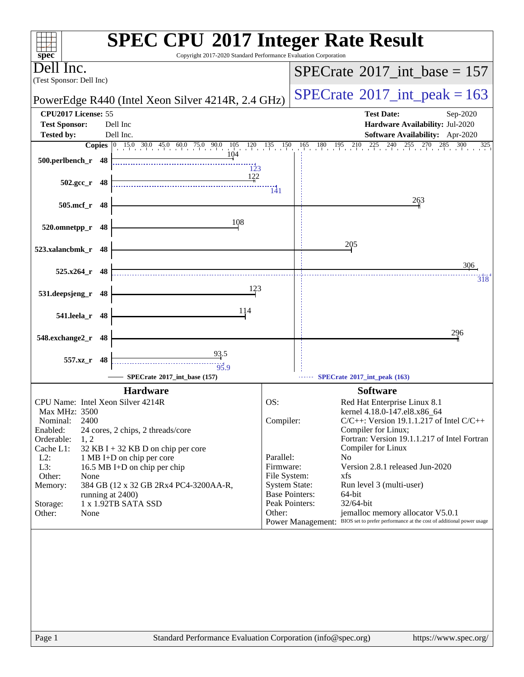| Copyright 2017-2020 Standard Performance Evaluation Corporation<br>$spec^*$                                                                                                   | <b>SPEC CPU®2017 Integer Rate Result</b>                                                                                                                                   |  |  |
|-------------------------------------------------------------------------------------------------------------------------------------------------------------------------------|----------------------------------------------------------------------------------------------------------------------------------------------------------------------------|--|--|
| Dell Inc.                                                                                                                                                                     | $SPECrate^{\circ}2017\_int\_base = 157$                                                                                                                                    |  |  |
| (Test Sponsor: Dell Inc)                                                                                                                                                      |                                                                                                                                                                            |  |  |
| PowerEdge R440 (Intel Xeon Silver 4214R, 2.4 GHz)                                                                                                                             | $SPECTate@2017_int\_peak = 163$                                                                                                                                            |  |  |
| CPU2017 License: 55                                                                                                                                                           | <b>Test Date:</b><br>Sep-2020                                                                                                                                              |  |  |
| <b>Test Sponsor:</b><br>Dell Inc<br>Dell Inc.<br><b>Tested by:</b>                                                                                                            | Hardware Availability: Jul-2020<br><b>Software Availability:</b> Apr-2020                                                                                                  |  |  |
| <b>Copies</b> $\begin{bmatrix} 0 & 15.0 & 30.0 & 45.0 & 60.0 & 75.0 & 90.0 & 105 \\ 15.0 & 30.0 & 45.0 & 60.0 & 75.0 & 90.0 & 105 \\ 0 & 0 & 0 & 0 & 0 & 0 & 0 \end{bmatrix}$ | $\begin{array}{ccccccccc}\n65 & 180 & 195 & 210 & 225 & 240 & 255 \\ 1 & 1 & 2 & 2 & 2 & 240 & 255\n\end{array}$<br>$120 \t 135 \t 150$<br>165<br>270<br>285<br>300<br>325 |  |  |
| 104<br>500.perlbench_r 48<br>123                                                                                                                                              |                                                                                                                                                                            |  |  |
| 122<br>$502.\text{gcc r}$ 48                                                                                                                                                  |                                                                                                                                                                            |  |  |
| 505.mcf_r 48                                                                                                                                                                  | $\frac{1}{41}$<br>263                                                                                                                                                      |  |  |
| 108                                                                                                                                                                           |                                                                                                                                                                            |  |  |
| 520.omnetpp_r 48                                                                                                                                                              |                                                                                                                                                                            |  |  |
| 523.xalancbmk_r 48                                                                                                                                                            | 205                                                                                                                                                                        |  |  |
|                                                                                                                                                                               | 306                                                                                                                                                                        |  |  |
| 525.x264_r 48                                                                                                                                                                 | 318                                                                                                                                                                        |  |  |
| 123<br>531.deepsjeng_r<br>48                                                                                                                                                  |                                                                                                                                                                            |  |  |
|                                                                                                                                                                               |                                                                                                                                                                            |  |  |
| 114<br>541.leela_r<br>48                                                                                                                                                      |                                                                                                                                                                            |  |  |
| 548.exchange2_r<br>- 48                                                                                                                                                       | 296                                                                                                                                                                        |  |  |
|                                                                                                                                                                               |                                                                                                                                                                            |  |  |
| 93.5<br>557.xz_r 48<br>95.9                                                                                                                                                   |                                                                                                                                                                            |  |  |
| SPECrate®2017_int_base (157)                                                                                                                                                  | SPECrate*2017_int_peak (163)                                                                                                                                               |  |  |
| <b>Hardware</b>                                                                                                                                                               | <b>Software</b>                                                                                                                                                            |  |  |
| CPU Name: Intel Xeon Silver 4214R<br>Max MHz: 3500                                                                                                                            | OS:<br>Red Hat Enterprise Linux 8.1<br>kernel 4.18.0-147.el8.x86_64                                                                                                        |  |  |
| 2400<br>Nominal:                                                                                                                                                              | $C/C++$ : Version 19.1.1.217 of Intel $C/C++$<br>Compiler:                                                                                                                 |  |  |
| Enabled:<br>24 cores, 2 chips, 2 threads/core<br>Orderable:<br>1, 2                                                                                                           | Compiler for Linux;<br>Fortran: Version 19.1.1.217 of Intel Fortran                                                                                                        |  |  |
| Cache L1:<br>32 KB I + 32 KB D on chip per core                                                                                                                               | Compiler for Linux                                                                                                                                                         |  |  |
| $L2$ :<br>1 MB I+D on chip per core                                                                                                                                           | Parallel:<br>N <sub>0</sub>                                                                                                                                                |  |  |
| L3:<br>16.5 MB I+D on chip per chip<br>Other:<br>None                                                                                                                         | Version 2.8.1 released Jun-2020<br>Firmware:<br>File System:<br>xfs                                                                                                        |  |  |
| Memory:<br>384 GB (12 x 32 GB 2Rx4 PC4-3200AA-R,                                                                                                                              | <b>System State:</b><br>Run level 3 (multi-user)                                                                                                                           |  |  |
| running at 2400)<br>1 x 1.92TB SATA SSD<br>Storage:                                                                                                                           | <b>Base Pointers:</b><br>64-bit<br>Peak Pointers:<br>32/64-bit                                                                                                             |  |  |
| Other:<br>None                                                                                                                                                                | jemalloc memory allocator V5.0.1<br>Other:                                                                                                                                 |  |  |
|                                                                                                                                                                               | Power Management: BIOS set to prefer performance at the cost of additional power usage                                                                                     |  |  |
|                                                                                                                                                                               |                                                                                                                                                                            |  |  |
|                                                                                                                                                                               |                                                                                                                                                                            |  |  |
|                                                                                                                                                                               |                                                                                                                                                                            |  |  |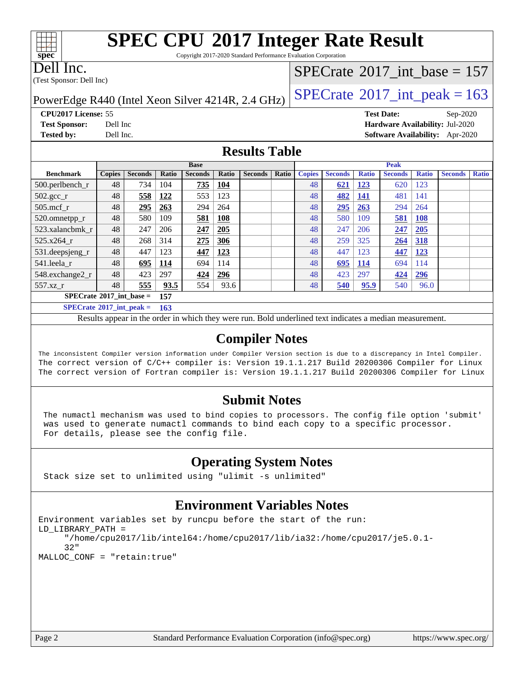# **[SPEC CPU](http://www.spec.org/auto/cpu2017/Docs/result-fields.html#SPECCPU2017IntegerRateResult)[2017 Integer Rate Result](http://www.spec.org/auto/cpu2017/Docs/result-fields.html#SPECCPU2017IntegerRateResult)**

Copyright 2017-2020 Standard Performance Evaluation Corporation

Dell Inc.

**[spec](http://www.spec.org/)**

 $\pm\pm\prime$ 

(Test Sponsor: Dell Inc)

## $SPECTate$ <sup>®</sup>[2017\\_int\\_base =](http://www.spec.org/auto/cpu2017/Docs/result-fields.html#SPECrate2017intbase) 157

PowerEdge R440 (Intel Xeon Silver 4214R, 2.4 GHz)  $\left|$  [SPECrate](http://www.spec.org/auto/cpu2017/Docs/result-fields.html#SPECrate2017intpeak)<sup>®</sup>[2017\\_int\\_peak = 1](http://www.spec.org/auto/cpu2017/Docs/result-fields.html#SPECrate2017intpeak)63

**[CPU2017 License:](http://www.spec.org/auto/cpu2017/Docs/result-fields.html#CPU2017License)** 55 **[Test Date:](http://www.spec.org/auto/cpu2017/Docs/result-fields.html#TestDate)** Sep-2020 **[Test Sponsor:](http://www.spec.org/auto/cpu2017/Docs/result-fields.html#TestSponsor)** Dell Inc **[Hardware Availability:](http://www.spec.org/auto/cpu2017/Docs/result-fields.html#HardwareAvailability)** Jul-2020 **[Tested by:](http://www.spec.org/auto/cpu2017/Docs/result-fields.html#Testedby)** Dell Inc. **[Software Availability:](http://www.spec.org/auto/cpu2017/Docs/result-fields.html#SoftwareAvailability)** Apr-2020

#### **[Results Table](http://www.spec.org/auto/cpu2017/Docs/result-fields.html#ResultsTable)**

|                                          | <b>Base</b>   |                |       |                |            |                | <b>Peak</b> |               |                |              |                |              |                |              |
|------------------------------------------|---------------|----------------|-------|----------------|------------|----------------|-------------|---------------|----------------|--------------|----------------|--------------|----------------|--------------|
| <b>Benchmark</b>                         | <b>Copies</b> | <b>Seconds</b> | Ratio | <b>Seconds</b> | Ratio      | <b>Seconds</b> | Ratio       | <b>Copies</b> | <b>Seconds</b> | <b>Ratio</b> | <b>Seconds</b> | <b>Ratio</b> | <b>Seconds</b> | <b>Ratio</b> |
| 500.perlbench_r                          | 48            | 734            | 104   | 735            | <u>104</u> |                |             | 48            | 621            | <u> 123</u>  | 620            | 123          |                |              |
| $502.\text{sec}$                         | 48            | 558            | 122   | 553            | 123        |                |             | 48            | 482            | <u>141</u>   | 481            | 141          |                |              |
| $505$ .mcf r                             | 48            | 295            | 263   | 294            | 264        |                |             | 48            | 295            | 263          | 294            | 264          |                |              |
| 520.omnetpp_r                            | 48            | 580            | 109   | 581            | <b>108</b> |                |             | 48            | 580            | 109          | 581            | <b>108</b>   |                |              |
| 523.xalancbmk r                          | 48            | 247            | 206   | 247            | 205        |                |             | 48            | 247            | 206          | 247            | 205          |                |              |
| $525.x264$ r                             | 48            | 268            | 314   | 275            | 306        |                |             | 48            | 259            | 325          | 264            | <b>318</b>   |                |              |
| 531.deepsjeng_r                          | 48            | 447            | 123   | 447            | 123        |                |             | 48            | 447            | 123          | 447            | 123          |                |              |
| 541.leela r                              | 48            | 695            | 114   | 694            | 114        |                |             | 48            | 695            | 114          | 694            | 114          |                |              |
| 548.exchange2_r                          | 48            | 423            | 297   | 424            | 296        |                |             | 48            | 423            | 297          | 424            | 296          |                |              |
| 557.xz r                                 | 48            | 555            | 93.5  | 554            | 93.6       |                |             | 48            | 540            | 95.9         | 540            | 96.0         |                |              |
| $SPECrate^{\circ}2017$ int base =<br>157 |               |                |       |                |            |                |             |               |                |              |                |              |                |              |
| $SPECrate^{\circ}2017$ int peak =        | 163           |                |       |                |            |                |             |               |                |              |                |              |                |              |

Results appear in the [order in which they were run.](http://www.spec.org/auto/cpu2017/Docs/result-fields.html#RunOrder) Bold underlined text [indicates a median measurement.](http://www.spec.org/auto/cpu2017/Docs/result-fields.html#Median)

#### **[Compiler Notes](http://www.spec.org/auto/cpu2017/Docs/result-fields.html#CompilerNotes)**

The inconsistent Compiler version information under Compiler Version section is due to a discrepancy in Intel Compiler. The correct version of C/C++ compiler is: Version 19.1.1.217 Build 20200306 Compiler for Linux The correct version of Fortran compiler is: Version 19.1.1.217 Build 20200306 Compiler for Linux

#### **[Submit Notes](http://www.spec.org/auto/cpu2017/Docs/result-fields.html#SubmitNotes)**

 The numactl mechanism was used to bind copies to processors. The config file option 'submit' was used to generate numactl commands to bind each copy to a specific processor. For details, please see the config file.

### **[Operating System Notes](http://www.spec.org/auto/cpu2017/Docs/result-fields.html#OperatingSystemNotes)**

Stack size set to unlimited using "ulimit -s unlimited"

#### **[Environment Variables Notes](http://www.spec.org/auto/cpu2017/Docs/result-fields.html#EnvironmentVariablesNotes)**

```
Environment variables set by runcpu before the start of the run:
LD_LIBRARY_PATH =
      "/home/cpu2017/lib/intel64:/home/cpu2017/lib/ia32:/home/cpu2017/je5.0.1-
      32"
MALLOC_CONF = "retain:true"
```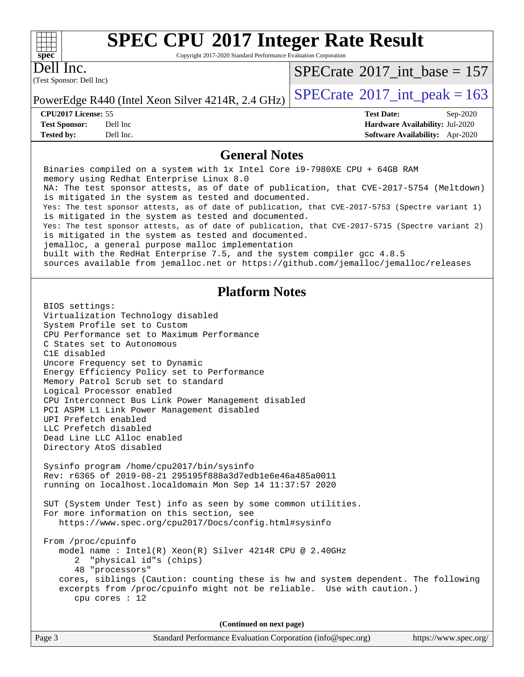#### $+\hskip -1.5pt +\hskip -1.5pt +$ **[spec](http://www.spec.org/)**

# **[SPEC CPU](http://www.spec.org/auto/cpu2017/Docs/result-fields.html#SPECCPU2017IntegerRateResult)[2017 Integer Rate Result](http://www.spec.org/auto/cpu2017/Docs/result-fields.html#SPECCPU2017IntegerRateResult)**

Copyright 2017-2020 Standard Performance Evaluation Corporation

(Test Sponsor: Dell Inc) Dell Inc.

 $SPECrate$ <sup>®</sup>[2017\\_int\\_base =](http://www.spec.org/auto/cpu2017/Docs/result-fields.html#SPECrate2017intbase) 157

**[Tested by:](http://www.spec.org/auto/cpu2017/Docs/result-fields.html#Testedby)** Dell Inc. **[Software Availability:](http://www.spec.org/auto/cpu2017/Docs/result-fields.html#SoftwareAvailability)** Apr-2020

PowerEdge R440 (Intel Xeon Silver 4214R, 2.4 GHz)  $\left|$  [SPECrate](http://www.spec.org/auto/cpu2017/Docs/result-fields.html#SPECrate2017intpeak)<sup>®</sup>[2017\\_int\\_peak = 1](http://www.spec.org/auto/cpu2017/Docs/result-fields.html#SPECrate2017intpeak)63

**[CPU2017 License:](http://www.spec.org/auto/cpu2017/Docs/result-fields.html#CPU2017License)** 55 **[Test Date:](http://www.spec.org/auto/cpu2017/Docs/result-fields.html#TestDate)** Sep-2020 **[Test Sponsor:](http://www.spec.org/auto/cpu2017/Docs/result-fields.html#TestSponsor)** Dell Inc **[Hardware Availability:](http://www.spec.org/auto/cpu2017/Docs/result-fields.html#HardwareAvailability)** Jul-2020

#### **[General Notes](http://www.spec.org/auto/cpu2017/Docs/result-fields.html#GeneralNotes)**

 Binaries compiled on a system with 1x Intel Core i9-7980XE CPU + 64GB RAM memory using Redhat Enterprise Linux 8.0 NA: The test sponsor attests, as of date of publication, that CVE-2017-5754 (Meltdown) is mitigated in the system as tested and documented. Yes: The test sponsor attests, as of date of publication, that CVE-2017-5753 (Spectre variant 1) is mitigated in the system as tested and documented. Yes: The test sponsor attests, as of date of publication, that CVE-2017-5715 (Spectre variant 2) is mitigated in the system as tested and documented. jemalloc, a general purpose malloc implementation built with the RedHat Enterprise 7.5, and the system compiler gcc 4.8.5 sources available from jemalloc.net or<https://github.com/jemalloc/jemalloc/releases> **[Platform Notes](http://www.spec.org/auto/cpu2017/Docs/result-fields.html#PlatformNotes)** BIOS settings: Virtualization Technology disabled System Profile set to Custom CPU Performance set to Maximum Performance C States set to Autonomous C1E disabled Uncore Frequency set to Dynamic Energy Efficiency Policy set to Performance Memory Patrol Scrub set to standard Logical Processor enabled CPU Interconnect Bus Link Power Management disabled PCI ASPM L1 Link Power Management disabled UPI Prefetch enabled LLC Prefetch disabled Dead Line LLC Alloc enabled Directory AtoS disabled Sysinfo program /home/cpu2017/bin/sysinfo Rev: r6365 of 2019-08-21 295195f888a3d7edb1e6e46a485a0011 running on localhost.localdomain Mon Sep 14 11:37:57 2020 SUT (System Under Test) info as seen by some common utilities. For more information on this section, see <https://www.spec.org/cpu2017/Docs/config.html#sysinfo> From /proc/cpuinfo model name : Intel(R) Xeon(R) Silver 4214R CPU @ 2.40GHz 2 "physical id"s (chips) 48 "processors" cores, siblings (Caution: counting these is hw and system dependent. The following excerpts from /proc/cpuinfo might not be reliable. Use with caution.) cpu cores : 12 **(Continued on next page)**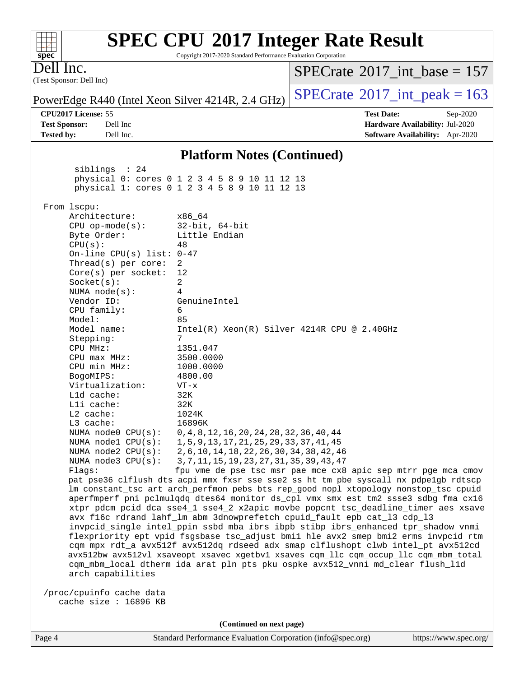#### (Test Sponsor: Dell Inc) Dell Inc. PowerEdge R440 (Intel Xeon Silver 4214R, 2.4 GHz)  $\left|$  [SPECrate](http://www.spec.org/auto/cpu2017/Docs/result-fields.html#SPECrate2017intpeak)<sup>®</sup>[2017\\_int\\_peak = 1](http://www.spec.org/auto/cpu2017/Docs/result-fields.html#SPECrate2017intpeak)63  $SPECTate$ <sup>®</sup>[2017\\_int\\_base =](http://www.spec.org/auto/cpu2017/Docs/result-fields.html#SPECrate2017intbase) 157 **[CPU2017 License:](http://www.spec.org/auto/cpu2017/Docs/result-fields.html#CPU2017License)** 55 **[Test Date:](http://www.spec.org/auto/cpu2017/Docs/result-fields.html#TestDate)** Sep-2020 **[Test Sponsor:](http://www.spec.org/auto/cpu2017/Docs/result-fields.html#TestSponsor)** Dell Inc **[Hardware Availability:](http://www.spec.org/auto/cpu2017/Docs/result-fields.html#HardwareAvailability)** Jul-2020 **[Tested by:](http://www.spec.org/auto/cpu2017/Docs/result-fields.html#Testedby)** Dell Inc. **[Software Availability:](http://www.spec.org/auto/cpu2017/Docs/result-fields.html#SoftwareAvailability)** Apr-2020 **[Platform Notes \(Continued\)](http://www.spec.org/auto/cpu2017/Docs/result-fields.html#PlatformNotes)** siblings : 24 physical 0: cores 0 1 2 3 4 5 8 9 10 11 12 13 physical 1: cores 0 1 2 3 4 5 8 9 10 11 12 13 From lscpu: Architecture: x86\_64 CPU op-mode(s): 32-bit, 64-bit Byte Order: Little Endian  $CPU(s):$  48 On-line CPU(s) list: 0-47 Thread(s) per core: 2 Core(s) per socket: 12 Socket(s): 2 NUMA node(s): 4 Vendor ID: GenuineIntel CPU family: 6 Model: 85 Model name: Intel(R) Xeon(R) Silver 4214R CPU @ 2.40GHz Stepping: 7 CPU MHz: 1351.047 CPU max MHz: 3500.0000 CPU min MHz: 1000.0000 BogoMIPS: 4800.00 Virtualization: VT-x L1d cache: 32K L1i cache: 32K L2 cache: 1024K L3 cache: 16896K NUMA node0 CPU(s): 0,4,8,12,16,20,24,28,32,36,40,44 NUMA node1 CPU(s): 1,5,9,13,17,21,25,29,33,37,41,45 NUMA node2 CPU(s): 2,6,10,14,18,22,26,30,34,38,42,46 NUMA node3 CPU(s): 3,7,11,15,19,23,27,31,35,39,43,47 Flags: fpu vme de pse tsc msr pae mce cx8 apic sep mtrr pge mca cmov pat pse36 clflush dts acpi mmx fxsr sse sse2 ss ht tm pbe syscall nx pdpe1gb rdtscp lm constant\_tsc art arch\_perfmon pebs bts rep\_good nopl xtopology nonstop\_tsc cpuid aperfmperf pni pclmulqdq dtes64 monitor ds\_cpl vmx smx est tm2 ssse3 sdbg fma cx16 xtpr pdcm pcid dca sse4\_1 sse4\_2 x2apic movbe popcnt tsc\_deadline\_timer aes xsave avx f16c rdrand lahf\_lm abm 3dnowprefetch cpuid\_fault epb cat\_l3 cdp\_l3 invpcid\_single intel\_ppin ssbd mba ibrs ibpb stibp ibrs\_enhanced tpr\_shadow vnmi flexpriority ept vpid fsgsbase tsc\_adjust bmi1 hle avx2 smep bmi2 erms invpcid rtm cqm mpx rdt\_a avx512f avx512dq rdseed adx smap clflushopt clwb intel\_pt avx512cd avx512bw avx512vl xsaveopt xsavec xgetbv1 xsaves cqm\_llc cqm\_occup\_llc cqm\_mbm\_total cqm\_mbm\_local dtherm ida arat pln pts pku ospke avx512\_vnni md\_clear flush\_l1d arch\_capabilities /proc/cpuinfo cache data cache size : 16896 KB

**[SPEC CPU](http://www.spec.org/auto/cpu2017/Docs/result-fields.html#SPECCPU2017IntegerRateResult)[2017 Integer Rate Result](http://www.spec.org/auto/cpu2017/Docs/result-fields.html#SPECCPU2017IntegerRateResult)** Copyright 2017-2020 Standard Performance Evaluation Corporation

**(Continued on next page)**

**[spec](http://www.spec.org/)**

 $+\!\!+\!\!$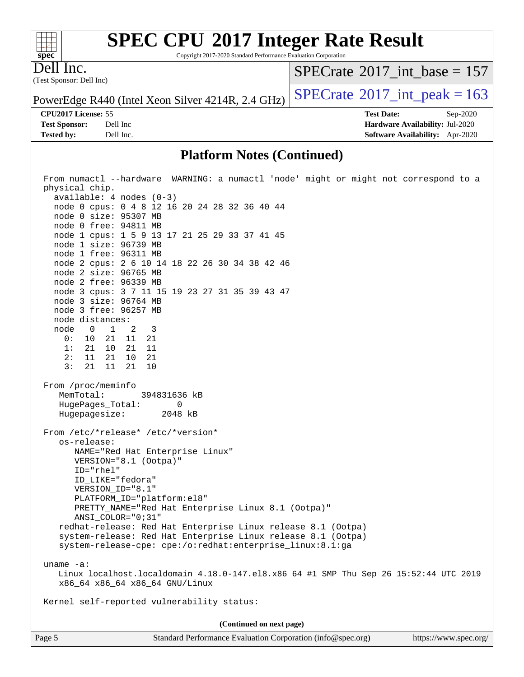#### $\pm\pm\prime$ **[spec](http://www.spec.org/)**

# **[SPEC CPU](http://www.spec.org/auto/cpu2017/Docs/result-fields.html#SPECCPU2017IntegerRateResult)[2017 Integer Rate Result](http://www.spec.org/auto/cpu2017/Docs/result-fields.html#SPECCPU2017IntegerRateResult)**

Copyright 2017-2020 Standard Performance Evaluation Corporation

(Test Sponsor: Dell Inc) Dell Inc.

 $SPECrate$ <sup>®</sup>[2017\\_int\\_base =](http://www.spec.org/auto/cpu2017/Docs/result-fields.html#SPECrate2017intbase) 157

PowerEdge R440 (Intel Xeon Silver 4214R, 2.4 GHz)  $\left|$  [SPECrate](http://www.spec.org/auto/cpu2017/Docs/result-fields.html#SPECrate2017intpeak)<sup>®</sup>[2017\\_int\\_peak = 1](http://www.spec.org/auto/cpu2017/Docs/result-fields.html#SPECrate2017intpeak)63

**[Tested by:](http://www.spec.org/auto/cpu2017/Docs/result-fields.html#Testedby)** Dell Inc. **[Software Availability:](http://www.spec.org/auto/cpu2017/Docs/result-fields.html#SoftwareAvailability)** Apr-2020

**[CPU2017 License:](http://www.spec.org/auto/cpu2017/Docs/result-fields.html#CPU2017License)** 55 **[Test Date:](http://www.spec.org/auto/cpu2017/Docs/result-fields.html#TestDate)** Sep-2020 **[Test Sponsor:](http://www.spec.org/auto/cpu2017/Docs/result-fields.html#TestSponsor)** Dell Inc **[Hardware Availability:](http://www.spec.org/auto/cpu2017/Docs/result-fields.html#HardwareAvailability)** Jul-2020

#### **[Platform Notes \(Continued\)](http://www.spec.org/auto/cpu2017/Docs/result-fields.html#PlatformNotes)**

| From numactl --hardware WARNING: a numactl 'node' might or might not correspond to a<br>physical chip.                                                                                                                                                                                                                                                                                                                                                                                                                                                  |  |  |  |
|---------------------------------------------------------------------------------------------------------------------------------------------------------------------------------------------------------------------------------------------------------------------------------------------------------------------------------------------------------------------------------------------------------------------------------------------------------------------------------------------------------------------------------------------------------|--|--|--|
| $available: 4 nodes (0-3)$                                                                                                                                                                                                                                                                                                                                                                                                                                                                                                                              |  |  |  |
| node 0 cpus: 0 4 8 12 16 20 24 28 32 36 40 44                                                                                                                                                                                                                                                                                                                                                                                                                                                                                                           |  |  |  |
| node 0 size: 95307 MB                                                                                                                                                                                                                                                                                                                                                                                                                                                                                                                                   |  |  |  |
| node 0 free: 94811 MB                                                                                                                                                                                                                                                                                                                                                                                                                                                                                                                                   |  |  |  |
| node 1 cpus: 1 5 9 13 17 21 25 29 33 37 41 45                                                                                                                                                                                                                                                                                                                                                                                                                                                                                                           |  |  |  |
| node 1 size: 96739 MB                                                                                                                                                                                                                                                                                                                                                                                                                                                                                                                                   |  |  |  |
| node 1 free: 96311 MB                                                                                                                                                                                                                                                                                                                                                                                                                                                                                                                                   |  |  |  |
| node 2 cpus: 2 6 10 14 18 22 26 30 34 38 42 46                                                                                                                                                                                                                                                                                                                                                                                                                                                                                                          |  |  |  |
| node 2 size: 96765 MB                                                                                                                                                                                                                                                                                                                                                                                                                                                                                                                                   |  |  |  |
| node 2 free: 96339 MB                                                                                                                                                                                                                                                                                                                                                                                                                                                                                                                                   |  |  |  |
| node 3 cpus: 3 7 11 15 19 23 27 31 35 39 43 47                                                                                                                                                                                                                                                                                                                                                                                                                                                                                                          |  |  |  |
| node 3 size: 96764 MB                                                                                                                                                                                                                                                                                                                                                                                                                                                                                                                                   |  |  |  |
| node 3 free: 96257 MB                                                                                                                                                                                                                                                                                                                                                                                                                                                                                                                                   |  |  |  |
| node distances:                                                                                                                                                                                                                                                                                                                                                                                                                                                                                                                                         |  |  |  |
| node 0 1 2<br>$\overline{\phantom{a}}$                                                                                                                                                                                                                                                                                                                                                                                                                                                                                                                  |  |  |  |
| 0:<br>10 21 11 21                                                                                                                                                                                                                                                                                                                                                                                                                                                                                                                                       |  |  |  |
| 21 10 21<br>1:<br>11                                                                                                                                                                                                                                                                                                                                                                                                                                                                                                                                    |  |  |  |
| 2:<br>$11$ $21$ $10$<br>-21                                                                                                                                                                                                                                                                                                                                                                                                                                                                                                                             |  |  |  |
| 3:<br>21 11 21<br>10                                                                                                                                                                                                                                                                                                                                                                                                                                                                                                                                    |  |  |  |
| MemTotal:<br>394831636 kB<br>HugePages_Total:<br>0<br>Hugepagesize: 2048 kB<br>From /etc/*release* /etc/*version*<br>os-release:<br>NAME="Red Hat Enterprise Linux"<br>VERSION="8.1 (Ootpa)"<br>ID="rhel"<br>ID LIKE="fedora"<br>VERSION_ID="8.1"<br>PLATFORM_ID="platform:el8"<br>PRETTY_NAME="Red Hat Enterprise Linux 8.1 (Ootpa)"<br>ANSI_COLOR="0;31"<br>redhat-release: Red Hat Enterprise Linux release 8.1 (Ootpa)<br>system-release: Red Hat Enterprise Linux release 8.1 (Ootpa)<br>system-release-cpe: cpe:/o:redhat:enterprise_linux:8.1:ga |  |  |  |
|                                                                                                                                                                                                                                                                                                                                                                                                                                                                                                                                                         |  |  |  |
| uname $-a$ :                                                                                                                                                                                                                                                                                                                                                                                                                                                                                                                                            |  |  |  |
| Linux localhost.localdomain 4.18.0-147.el8.x86_64 #1 SMP Thu Sep 26 15:52:44 UTC 2019<br>x86_64 x86_64 x86_64 GNU/Linux                                                                                                                                                                                                                                                                                                                                                                                                                                 |  |  |  |
| Kernel self-reported vulnerability status:                                                                                                                                                                                                                                                                                                                                                                                                                                                                                                              |  |  |  |
| (Continued on next page)                                                                                                                                                                                                                                                                                                                                                                                                                                                                                                                                |  |  |  |
| Standard Performance Evaluation Corporation (info@spec.org)<br>https://www.spec.org/<br>Page 5                                                                                                                                                                                                                                                                                                                                                                                                                                                          |  |  |  |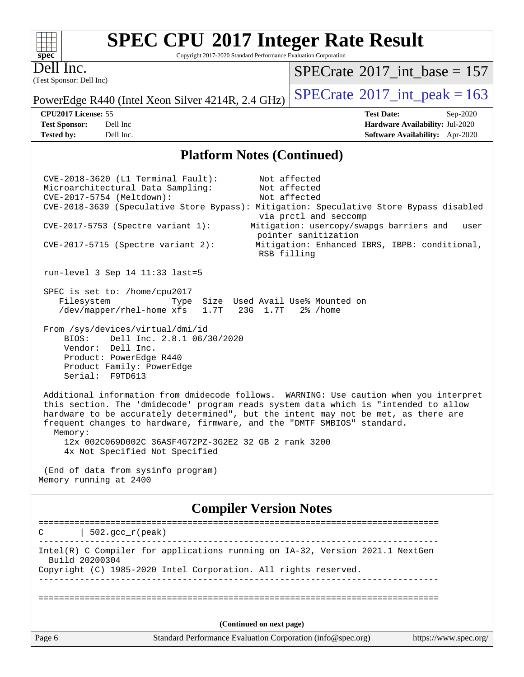#### $+\ +$ **[spec](http://www.spec.org/)**

# **[SPEC CPU](http://www.spec.org/auto/cpu2017/Docs/result-fields.html#SPECCPU2017IntegerRateResult)[2017 Integer Rate Result](http://www.spec.org/auto/cpu2017/Docs/result-fields.html#SPECCPU2017IntegerRateResult)**

Copyright 2017-2020 Standard Performance Evaluation Corporation

(Test Sponsor: Dell Inc) Dell Inc.

 $SPECrate$ <sup>®</sup>[2017\\_int\\_base =](http://www.spec.org/auto/cpu2017/Docs/result-fields.html#SPECrate2017intbase) 157

PowerEdge R440 (Intel Xeon Silver 4214R, 2.4 GHz)  $\left|$  [SPECrate](http://www.spec.org/auto/cpu2017/Docs/result-fields.html#SPECrate2017intpeak)<sup>®</sup>[2017\\_int\\_peak = 1](http://www.spec.org/auto/cpu2017/Docs/result-fields.html#SPECrate2017intpeak)63

**[CPU2017 License:](http://www.spec.org/auto/cpu2017/Docs/result-fields.html#CPU2017License)** 55 **[Test Date:](http://www.spec.org/auto/cpu2017/Docs/result-fields.html#TestDate)** Sep-2020 **[Test Sponsor:](http://www.spec.org/auto/cpu2017/Docs/result-fields.html#TestSponsor)** Dell Inc **[Hardware Availability:](http://www.spec.org/auto/cpu2017/Docs/result-fields.html#HardwareAvailability)** Jul-2020 **[Tested by:](http://www.spec.org/auto/cpu2017/Docs/result-fields.html#Testedby)** Dell Inc. **[Software Availability:](http://www.spec.org/auto/cpu2017/Docs/result-fields.html#SoftwareAvailability)** Apr-2020

#### **[Platform Notes \(Continued\)](http://www.spec.org/auto/cpu2017/Docs/result-fields.html#PlatformNotes)**

 CVE-2018-3620 (L1 Terminal Fault): Not affected Microarchitectural Data Sampling: CVE-2017-5754 (Meltdown): Not affected CVE-2018-3639 (Speculative Store Bypass): Mitigation: Speculative Store Bypass disabled via prctl and seccomp CVE-2017-5753 (Spectre variant 1): Mitigation: usercopy/swapgs barriers and \_\_user pointer sanitization CVE-2017-5715 (Spectre variant 2): Mitigation: Enhanced IBRS, IBPB: conditional, RSB filling run-level 3 Sep 14 11:33 last=5 SPEC is set to: /home/cpu2017 Filesystem Type Size Used Avail Use% Mounted on /dev/mapper/rhel-home xfs 1.7T 23G 1.7T 2% /home From /sys/devices/virtual/dmi/id BIOS: Dell Inc. 2.8.1 06/30/2020 Vendor: Dell Inc. Product: PowerEdge R440 Product Family: PowerEdge Serial: F9TD613 Additional information from dmidecode follows. WARNING: Use caution when you interpret this section. The 'dmidecode' program reads system data which is "intended to allow hardware to be accurately determined", but the intent may not be met, as there are frequent changes to hardware, firmware, and the "DMTF SMBIOS" standard. Memory: 12x 002C069D002C 36ASF4G72PZ-3G2E2 32 GB 2 rank 3200 4x Not Specified Not Specified (End of data from sysinfo program) Memory running at 2400 **[Compiler Version Notes](http://www.spec.org/auto/cpu2017/Docs/result-fields.html#CompilerVersionNotes)** ==============================================================================  $C \qquad | \quad 502.\text{gcc\_r}(\text{peak})$ ------------------------------------------------------------------------------

 Build 20200304 Copyright (C) 1985-2020 Intel Corporation. All rights reserved.

------------------------------------------------------------------------------

Intel(R) C Compiler for applications running on IA-32, Version 2021.1 NextGen

==============================================================================

**(Continued on next page)**

Page 6 Standard Performance Evaluation Corporation [\(info@spec.org\)](mailto:info@spec.org) <https://www.spec.org/>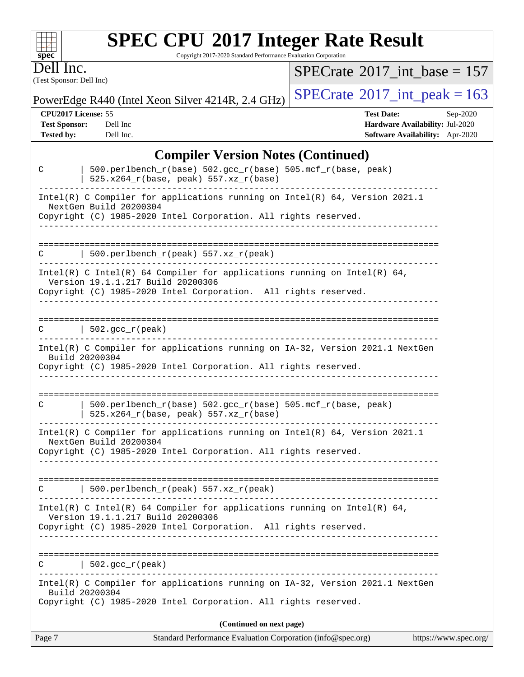# **[SPEC CPU](http://www.spec.org/auto/cpu2017/Docs/result-fields.html#SPECCPU2017IntegerRateResult)[2017 Integer Rate Result](http://www.spec.org/auto/cpu2017/Docs/result-fields.html#SPECCPU2017IntegerRateResult)**

Copyright 2017-2020 Standard Performance Evaluation Corporation

(Test Sponsor: Dell Inc) Dell Inc.

**[spec](http://www.spec.org/)**

 $+\!\!+\!\!$ 

 $SPECrate$ <sup>®</sup>[2017\\_int\\_base =](http://www.spec.org/auto/cpu2017/Docs/result-fields.html#SPECrate2017intbase) 157

PowerEdge R440 (Intel Xeon Silver 4214R, 2.4 GHz)  $\left|$  [SPECrate](http://www.spec.org/auto/cpu2017/Docs/result-fields.html#SPECrate2017intpeak)<sup>®</sup>[2017\\_int\\_peak = 1](http://www.spec.org/auto/cpu2017/Docs/result-fields.html#SPECrate2017intpeak)63

**[CPU2017 License:](http://www.spec.org/auto/cpu2017/Docs/result-fields.html#CPU2017License)** 55 **[Test Date:](http://www.spec.org/auto/cpu2017/Docs/result-fields.html#TestDate)** Sep-2020 **[Test Sponsor:](http://www.spec.org/auto/cpu2017/Docs/result-fields.html#TestSponsor)** Dell Inc **[Hardware Availability:](http://www.spec.org/auto/cpu2017/Docs/result-fields.html#HardwareAvailability)** Jul-2020 **[Tested by:](http://www.spec.org/auto/cpu2017/Docs/result-fields.html#Testedby)** Dell Inc. **[Software Availability:](http://www.spec.org/auto/cpu2017/Docs/result-fields.html#SoftwareAvailability)** Apr-2020

#### **[Compiler Version Notes \(Continued\)](http://www.spec.org/auto/cpu2017/Docs/result-fields.html#CompilerVersionNotes)**

| C      | 500.perlbench_r(base) 502.gcc_r(base) 505.mcf_r(base, peak)<br>525.x264_r(base, peak) 557.xz_r(base)                                                                             |
|--------|----------------------------------------------------------------------------------------------------------------------------------------------------------------------------------|
|        | Intel(R) C Compiler for applications running on Intel(R) $64$ , Version 2021.1<br>NextGen Build 20200304<br>Copyright (C) 1985-2020 Intel Corporation. All rights reserved.      |
|        |                                                                                                                                                                                  |
| С      | 500.perlbench_r(peak) 557.xz_r(peak)                                                                                                                                             |
|        | Intel(R) C Intel(R) 64 Compiler for applications running on Intel(R) 64,<br>Version 19.1.1.217 Build 20200306<br>Copyright (C) 1985-2020 Intel Corporation. All rights reserved. |
| C      | $\vert$ 502.gcc_r(peak)<br>-------------------------------------                                                                                                                 |
|        | Intel(R) C Compiler for applications running on IA-32, Version 2021.1 NextGen<br>Build 20200304<br>Copyright (C) 1985-2020 Intel Corporation. All rights reserved.               |
|        |                                                                                                                                                                                  |
| С      | 500.perlbench_r(base) 502.gcc_r(base) 505.mcf_r(base, peak)<br>$525.x264_r(base, peak) 557.xz_r(base)$                                                                           |
|        | Intel(R) C Compiler for applications running on $Intel(R)$ 64, Version 2021.1<br>NextGen Build 20200304<br>Copyright (C) 1985-2020 Intel Corporation. All rights reserved.       |
| C      | $500.perlbench_r(peak) 557. xz_r(peak)$                                                                                                                                          |
|        | Intel(R) C Intel(R) 64 Compiler for applications running on Intel(R) 64,<br>Version 19.1.1.217 Build 20200306<br>Copyright (C) 1985-2020 Intel Corporation. All rights reserved. |
| C      | $502.\text{qcc r (peak)}$                                                                                                                                                        |
|        | Intel(R) C Compiler for applications running on IA-32, Version 2021.1 NextGen<br>Build 20200304<br>Copyright (C) 1985-2020 Intel Corporation. All rights reserved.               |
|        | (Continued on next page)                                                                                                                                                         |
| Page 7 | Standard Performance Evaluation Corporation (info@spec.org)<br>https://www.spec.org/                                                                                             |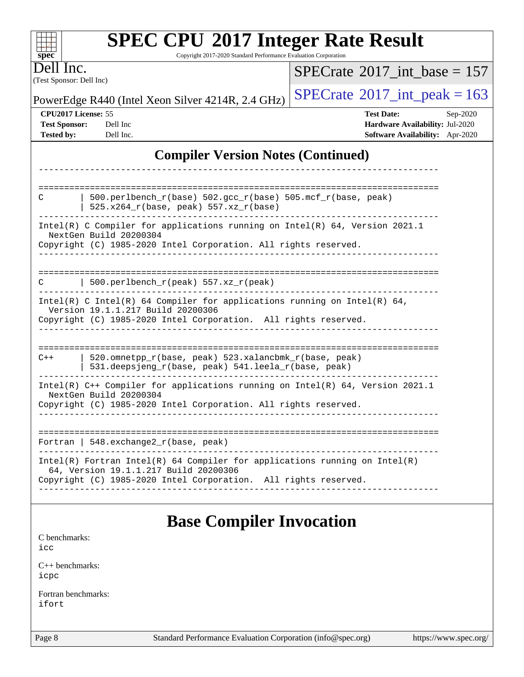| <b>SPEC CPU®2017 Integer Rate Result</b><br>Copyright 2017-2020 Standard Performance Evaluation Corporation<br>$spec^*$                                                                  |                                                                                                     |  |  |  |  |
|------------------------------------------------------------------------------------------------------------------------------------------------------------------------------------------|-----------------------------------------------------------------------------------------------------|--|--|--|--|
| Dell Inc.<br>(Test Sponsor: Dell Inc)                                                                                                                                                    | $SPECrate^{\circledast}2017$ int base = 157                                                         |  |  |  |  |
| PowerEdge R440 (Intel Xeon Silver 4214R, 2.4 GHz)                                                                                                                                        | $SPECTate$ <sup>®</sup> 2017_int_peak = 163                                                         |  |  |  |  |
| CPU2017 License: 55<br><b>Test Sponsor:</b><br>Dell Inc<br><b>Tested by:</b><br>Dell Inc.                                                                                                | <b>Test Date:</b><br>Sep-2020<br>Hardware Availability: Jul-2020<br>Software Availability: Apr-2020 |  |  |  |  |
| <b>Compiler Version Notes (Continued)</b>                                                                                                                                                |                                                                                                     |  |  |  |  |
| 500.perlbench_r(base) 502.gcc_r(base) 505.mcf_r(base, peak)<br>C<br>525.x264_r(base, peak) 557.xz_r(base)<br>Intel(R) C Compiler for applications running on Intel(R) 64, Version 2021.1 |                                                                                                     |  |  |  |  |
| NextGen Build 20200304<br>Copyright (C) 1985-2020 Intel Corporation. All rights reserved.                                                                                                |                                                                                                     |  |  |  |  |
| $500.perlbench_r(peak) 557. xz_r(peak)$                                                                                                                                                  |                                                                                                     |  |  |  |  |
| Intel(R) C Intel(R) 64 Compiler for applications running on Intel(R) 64,<br>Version 19.1.1.217 Build 20200306<br>Copyright (C) 1985-2020 Intel Corporation. All rights reserved.         |                                                                                                     |  |  |  |  |
| $C++$<br>520.omnetpp_r(base, peak) 523.xalancbmk_r(base, peak)<br>531.deepsjeng_r(base, peak) 541.leela_r(base, peak)                                                                    |                                                                                                     |  |  |  |  |
| Intel(R) C++ Compiler for applications running on Intel(R) 64, Version 2021.1<br>NextGen Build 20200304<br>Copyright (C) 1985-2020 Intel Corporation. All rights reserved.               |                                                                                                     |  |  |  |  |
| Fortran   $548$ . exchange $2r$ (base, peak)                                                                                                                                             |                                                                                                     |  |  |  |  |
| $Intel(R)$ Fortran Intel(R) 64 Compiler for applications running on Intel(R)<br>64, Version 19.1.1.217 Build 20200306<br>Copyright (C) 1985-2020 Intel Corporation. All rights reserved. |                                                                                                     |  |  |  |  |
| <b>Base Compiler Invocation</b><br>C benchmarks:                                                                                                                                         |                                                                                                     |  |  |  |  |
| icc                                                                                                                                                                                      |                                                                                                     |  |  |  |  |
| $C_{++}$ benchmarks:<br>icpc                                                                                                                                                             |                                                                                                     |  |  |  |  |
| Fortran benchmarks:<br>ifort                                                                                                                                                             |                                                                                                     |  |  |  |  |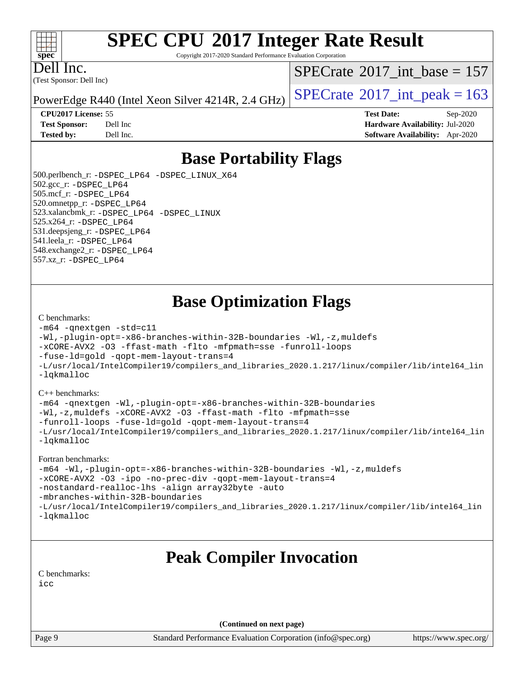#### $+\ +$ **[spec](http://www.spec.org/)**

# **[SPEC CPU](http://www.spec.org/auto/cpu2017/Docs/result-fields.html#SPECCPU2017IntegerRateResult)[2017 Integer Rate Result](http://www.spec.org/auto/cpu2017/Docs/result-fields.html#SPECCPU2017IntegerRateResult)**

Copyright 2017-2020 Standard Performance Evaluation Corporation

(Test Sponsor: Dell Inc) Dell Inc.

 $SPECTate$ <sup>®</sup>[2017\\_int\\_base =](http://www.spec.org/auto/cpu2017/Docs/result-fields.html#SPECrate2017intbase) 157

PowerEdge R440 (Intel Xeon Silver 4214R, 2.4 GHz)  $\left|$  [SPECrate](http://www.spec.org/auto/cpu2017/Docs/result-fields.html#SPECrate2017intpeak)<sup>®</sup>[2017\\_int\\_peak = 1](http://www.spec.org/auto/cpu2017/Docs/result-fields.html#SPECrate2017intpeak)63

**[CPU2017 License:](http://www.spec.org/auto/cpu2017/Docs/result-fields.html#CPU2017License)** 55 **[Test Date:](http://www.spec.org/auto/cpu2017/Docs/result-fields.html#TestDate)** Sep-2020 **[Test Sponsor:](http://www.spec.org/auto/cpu2017/Docs/result-fields.html#TestSponsor)** Dell Inc **[Hardware Availability:](http://www.spec.org/auto/cpu2017/Docs/result-fields.html#HardwareAvailability)** Jul-2020 **[Tested by:](http://www.spec.org/auto/cpu2017/Docs/result-fields.html#Testedby)** Dell Inc. **[Software Availability:](http://www.spec.org/auto/cpu2017/Docs/result-fields.html#SoftwareAvailability)** Apr-2020

# **[Base Portability Flags](http://www.spec.org/auto/cpu2017/Docs/result-fields.html#BasePortabilityFlags)**

 500.perlbench\_r: [-DSPEC\\_LP64](http://www.spec.org/cpu2017/results/res2020q4/cpu2017-20200928-24075.flags.html#b500.perlbench_r_basePORTABILITY_DSPEC_LP64) [-DSPEC\\_LINUX\\_X64](http://www.spec.org/cpu2017/results/res2020q4/cpu2017-20200928-24075.flags.html#b500.perlbench_r_baseCPORTABILITY_DSPEC_LINUX_X64) 502.gcc\_r: [-DSPEC\\_LP64](http://www.spec.org/cpu2017/results/res2020q4/cpu2017-20200928-24075.flags.html#suite_basePORTABILITY502_gcc_r_DSPEC_LP64) 505.mcf\_r: [-DSPEC\\_LP64](http://www.spec.org/cpu2017/results/res2020q4/cpu2017-20200928-24075.flags.html#suite_basePORTABILITY505_mcf_r_DSPEC_LP64) 520.omnetpp\_r: [-DSPEC\\_LP64](http://www.spec.org/cpu2017/results/res2020q4/cpu2017-20200928-24075.flags.html#suite_basePORTABILITY520_omnetpp_r_DSPEC_LP64) 523.xalancbmk\_r: [-DSPEC\\_LP64](http://www.spec.org/cpu2017/results/res2020q4/cpu2017-20200928-24075.flags.html#suite_basePORTABILITY523_xalancbmk_r_DSPEC_LP64) [-DSPEC\\_LINUX](http://www.spec.org/cpu2017/results/res2020q4/cpu2017-20200928-24075.flags.html#b523.xalancbmk_r_baseCXXPORTABILITY_DSPEC_LINUX) 525.x264\_r: [-DSPEC\\_LP64](http://www.spec.org/cpu2017/results/res2020q4/cpu2017-20200928-24075.flags.html#suite_basePORTABILITY525_x264_r_DSPEC_LP64) 531.deepsjeng\_r: [-DSPEC\\_LP64](http://www.spec.org/cpu2017/results/res2020q4/cpu2017-20200928-24075.flags.html#suite_basePORTABILITY531_deepsjeng_r_DSPEC_LP64) 541.leela\_r: [-DSPEC\\_LP64](http://www.spec.org/cpu2017/results/res2020q4/cpu2017-20200928-24075.flags.html#suite_basePORTABILITY541_leela_r_DSPEC_LP64) 548.exchange2\_r: [-DSPEC\\_LP64](http://www.spec.org/cpu2017/results/res2020q4/cpu2017-20200928-24075.flags.html#suite_basePORTABILITY548_exchange2_r_DSPEC_LP64) 557.xz\_r: [-DSPEC\\_LP64](http://www.spec.org/cpu2017/results/res2020q4/cpu2017-20200928-24075.flags.html#suite_basePORTABILITY557_xz_r_DSPEC_LP64)

# **[Base Optimization Flags](http://www.spec.org/auto/cpu2017/Docs/result-fields.html#BaseOptimizationFlags)**

#### [C benchmarks](http://www.spec.org/auto/cpu2017/Docs/result-fields.html#Cbenchmarks):

```
-m64 -qnextgen -std=c11
-Wl,-plugin-opt=-x86-branches-within-32B-boundaries -Wl,-z,muldefs
-xCORE-AVX2 -O3 -ffast-math -flto -mfpmath=sse -funroll-loops
-fuse-ld=gold -qopt-mem-layout-trans=4
-L/usr/local/IntelCompiler19/compilers_and_libraries_2020.1.217/linux/compiler/lib/intel64_lin
-lqkmalloc
```
#### [C++ benchmarks](http://www.spec.org/auto/cpu2017/Docs/result-fields.html#CXXbenchmarks):

```
-m64 -qnextgen -Wl,-plugin-opt=-x86-branches-within-32B-boundaries
-Wl,-z,muldefs -xCORE-AVX2 -O3 -ffast-math -flto -mfpmath=sse
-funroll-loops -fuse-ld=gold -qopt-mem-layout-trans=4
-L/usr/local/IntelCompiler19/compilers_and_libraries_2020.1.217/linux/compiler/lib/intel64_lin
-lqkmalloc
```
#### [Fortran benchmarks:](http://www.spec.org/auto/cpu2017/Docs/result-fields.html#Fortranbenchmarks)

```
-m64 -Wl,-plugin-opt=-x86-branches-within-32B-boundaries -Wl,-z,muldefs
-xCORE-AVX2 -O3 -ipo -no-prec-div -qopt-mem-layout-trans=4
-nostandard-realloc-lhs -align array32byte -auto
-mbranches-within-32B-boundaries
-L/usr/local/IntelCompiler19/compilers_and_libraries_2020.1.217/linux/compiler/lib/intel64_lin
-lqkmalloc
```
# **[Peak Compiler Invocation](http://www.spec.org/auto/cpu2017/Docs/result-fields.html#PeakCompilerInvocation)**

[C benchmarks](http://www.spec.org/auto/cpu2017/Docs/result-fields.html#Cbenchmarks): [icc](http://www.spec.org/cpu2017/results/res2020q4/cpu2017-20200928-24075.flags.html#user_CCpeak_intel_icc_66fc1ee009f7361af1fbd72ca7dcefbb700085f36577c54f309893dd4ec40d12360134090235512931783d35fd58c0460139e722d5067c5574d8eaf2b3e37e92)

**(Continued on next page)**

Page 9 Standard Performance Evaluation Corporation [\(info@spec.org\)](mailto:info@spec.org) <https://www.spec.org/>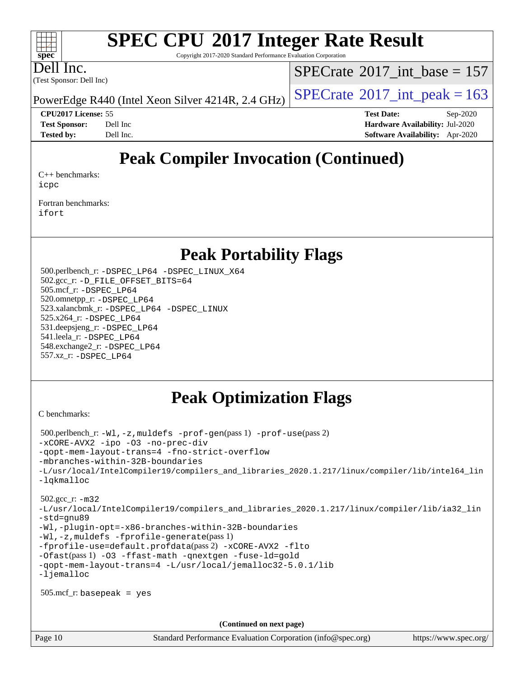# **[SPEC CPU](http://www.spec.org/auto/cpu2017/Docs/result-fields.html#SPECCPU2017IntegerRateResult)[2017 Integer Rate Result](http://www.spec.org/auto/cpu2017/Docs/result-fields.html#SPECCPU2017IntegerRateResult)**

Copyright 2017-2020 Standard Performance Evaluation Corporation

Dell Inc.

**[spec](http://www.spec.org/)**

 $+\ +$ 

(Test Sponsor: Dell Inc)

 $SPECTate$ <sup>®</sup>[2017\\_int\\_base =](http://www.spec.org/auto/cpu2017/Docs/result-fields.html#SPECrate2017intbase) 157

PowerEdge R440 (Intel Xeon Silver 4214R, 2.4 GHz)  $\left|$  [SPECrate](http://www.spec.org/auto/cpu2017/Docs/result-fields.html#SPECrate2017intpeak)<sup>®</sup>[2017\\_int\\_peak = 1](http://www.spec.org/auto/cpu2017/Docs/result-fields.html#SPECrate2017intpeak)63

**[CPU2017 License:](http://www.spec.org/auto/cpu2017/Docs/result-fields.html#CPU2017License)** 55 **[Test Date:](http://www.spec.org/auto/cpu2017/Docs/result-fields.html#TestDate)** Sep-2020 **[Test Sponsor:](http://www.spec.org/auto/cpu2017/Docs/result-fields.html#TestSponsor)** Dell Inc **[Hardware Availability:](http://www.spec.org/auto/cpu2017/Docs/result-fields.html#HardwareAvailability)** Jul-2020 **[Tested by:](http://www.spec.org/auto/cpu2017/Docs/result-fields.html#Testedby)** Dell Inc. **[Software Availability:](http://www.spec.org/auto/cpu2017/Docs/result-fields.html#SoftwareAvailability)** Apr-2020

# **[Peak Compiler Invocation \(Continued\)](http://www.spec.org/auto/cpu2017/Docs/result-fields.html#PeakCompilerInvocation)**

[C++ benchmarks:](http://www.spec.org/auto/cpu2017/Docs/result-fields.html#CXXbenchmarks) [icpc](http://www.spec.org/cpu2017/results/res2020q4/cpu2017-20200928-24075.flags.html#user_CXXpeak_intel_icpc_c510b6838c7f56d33e37e94d029a35b4a7bccf4766a728ee175e80a419847e808290a9b78be685c44ab727ea267ec2f070ec5dc83b407c0218cded6866a35d07)

[Fortran benchmarks](http://www.spec.org/auto/cpu2017/Docs/result-fields.html#Fortranbenchmarks): [ifort](http://www.spec.org/cpu2017/results/res2020q4/cpu2017-20200928-24075.flags.html#user_FCpeak_intel_ifort_8111460550e3ca792625aed983ce982f94888b8b503583aa7ba2b8303487b4d8a21a13e7191a45c5fd58ff318f48f9492884d4413fa793fd88dd292cad7027ca)

## **[Peak Portability Flags](http://www.spec.org/auto/cpu2017/Docs/result-fields.html#PeakPortabilityFlags)**

 500.perlbench\_r: [-DSPEC\\_LP64](http://www.spec.org/cpu2017/results/res2020q4/cpu2017-20200928-24075.flags.html#b500.perlbench_r_peakPORTABILITY_DSPEC_LP64) [-DSPEC\\_LINUX\\_X64](http://www.spec.org/cpu2017/results/res2020q4/cpu2017-20200928-24075.flags.html#b500.perlbench_r_peakCPORTABILITY_DSPEC_LINUX_X64) 502.gcc\_r: [-D\\_FILE\\_OFFSET\\_BITS=64](http://www.spec.org/cpu2017/results/res2020q4/cpu2017-20200928-24075.flags.html#user_peakPORTABILITY502_gcc_r_file_offset_bits_64_5ae949a99b284ddf4e95728d47cb0843d81b2eb0e18bdfe74bbf0f61d0b064f4bda2f10ea5eb90e1dcab0e84dbc592acfc5018bc955c18609f94ddb8d550002c) 505.mcf\_r: [-DSPEC\\_LP64](http://www.spec.org/cpu2017/results/res2020q4/cpu2017-20200928-24075.flags.html#suite_peakPORTABILITY505_mcf_r_DSPEC_LP64) 520.omnetpp\_r: [-DSPEC\\_LP64](http://www.spec.org/cpu2017/results/res2020q4/cpu2017-20200928-24075.flags.html#suite_peakPORTABILITY520_omnetpp_r_DSPEC_LP64) 523.xalancbmk\_r: [-DSPEC\\_LP64](http://www.spec.org/cpu2017/results/res2020q4/cpu2017-20200928-24075.flags.html#suite_peakPORTABILITY523_xalancbmk_r_DSPEC_LP64) [-DSPEC\\_LINUX](http://www.spec.org/cpu2017/results/res2020q4/cpu2017-20200928-24075.flags.html#b523.xalancbmk_r_peakCXXPORTABILITY_DSPEC_LINUX) 525.x264\_r: [-DSPEC\\_LP64](http://www.spec.org/cpu2017/results/res2020q4/cpu2017-20200928-24075.flags.html#suite_peakPORTABILITY525_x264_r_DSPEC_LP64) 531.deepsjeng\_r: [-DSPEC\\_LP64](http://www.spec.org/cpu2017/results/res2020q4/cpu2017-20200928-24075.flags.html#suite_peakPORTABILITY531_deepsjeng_r_DSPEC_LP64) 541.leela\_r: [-DSPEC\\_LP64](http://www.spec.org/cpu2017/results/res2020q4/cpu2017-20200928-24075.flags.html#suite_peakPORTABILITY541_leela_r_DSPEC_LP64) 548.exchange2\_r: [-DSPEC\\_LP64](http://www.spec.org/cpu2017/results/res2020q4/cpu2017-20200928-24075.flags.html#suite_peakPORTABILITY548_exchange2_r_DSPEC_LP64) 557.xz\_r: [-DSPEC\\_LP64](http://www.spec.org/cpu2017/results/res2020q4/cpu2017-20200928-24075.flags.html#suite_peakPORTABILITY557_xz_r_DSPEC_LP64)

# **[Peak Optimization Flags](http://www.spec.org/auto/cpu2017/Docs/result-fields.html#PeakOptimizationFlags)**

[C benchmarks](http://www.spec.org/auto/cpu2017/Docs/result-fields.html#Cbenchmarks):

```
 500.perlbench_r: -Wl,-z,muldefs -prof-gen(pass 1) -prof-use(pass 2)
-xCORE-AVX2 -ipo -O3 -no-prec-div
-qopt-mem-layout-trans=4 -fno-strict-overflow
-mbranches-within-32B-boundaries
-L/usr/local/IntelCompiler19/compilers_and_libraries_2020.1.217/linux/compiler/lib/intel64_lin
-lqkmalloc
 502.gcc_r: -m32
-L/usr/local/IntelCompiler19/compilers_and_libraries_2020.1.217/linux/compiler/lib/ia32_lin
-std=gnu89
-Wl,-plugin-opt=-x86-branches-within-32B-boundaries
-Wl,-z,muldefs -fprofile-generate(pass 1)
-fprofile-use=default.profdata(pass 2) -xCORE-AVX2 -flto
-Ofast(pass 1) -O3 -ffast-math -qnextgen -fuse-ld=gold
-qopt-mem-layout-trans=4 -L/usr/local/jemalloc32-5.0.1/lib
-ljemalloc
 505.mcf_r: basepeak = yes
                                      (Continued on next page)
```